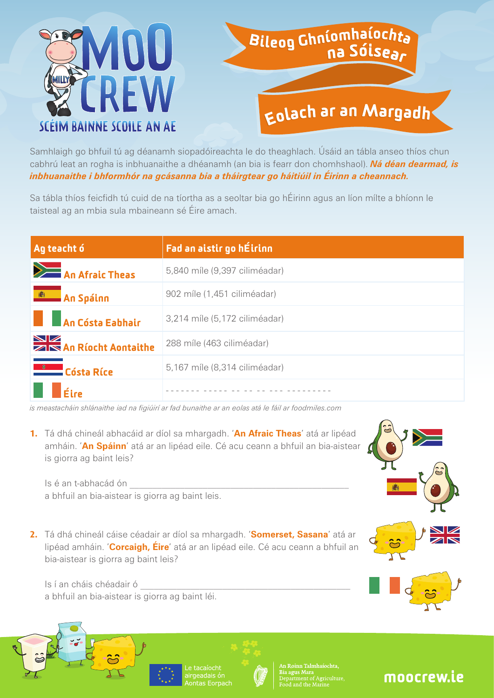

## Bileog Ghníomhaíochta<br>na Sóisear

## Eolach ar an Margadh

Samhlaigh go bhfuil tú ag déanamh siopadóireachta le do theaghlach. Úsáid an tábla anseo thíos chun cabhrú leat an rogha is inbhuanaithe a dhéanamh (an bia is fearr don chomhshaol). *Ná déan dearmad, is inbhuanaithe i bhformhór na gcásanna bia a tháirgtear go háitiúil in Éirinn a cheannach.*

Sa tábla thíos feicfidh tú cuid de na tíortha as a seoltar bia go hÉirinn agus an líon mílte a bhíonn le taisteal ag an mbia sula mbaineann sé Éire amach.

| Ag teacht ó                                    | Fad an aistir go hÉirinn      |
|------------------------------------------------|-------------------------------|
| An Afraic Theas                                | 5,840 míle (9,397 ciliméadar) |
| <b>Example 2</b> An Spáinn                     | 902 míle (1,451 ciliméadar)   |
| <b>An Cósta Eabhair</b>                        | 3,214 míle (5,172 ciliméadar) |
| <b>NEW</b><br><b>Zarzy</b> An Ríocht Aontaithe | 288 míle (463 ciliméadar)     |
| <b>Cósta Ríce</b>                              | 5,167 míle (8,314 ciliméadar) |
| $\mathsf{F}$ íce                               |                               |

*is meastacháin shlánaithe iad na figiúirí ar fad bunaithe ar an eolas atá le fáil ar foodmiles.com*

**1.**  Tá dhá chineál abhacáid ar díol sa mhargadh. '**An Afraic Theas**' atá ar lipéad amháin. '**An Spáinn**' atá ar an lipéad eile. Cé acu ceann a bhfuil an bia-aistear is giorra ag baint leis?

Is é an t-abhacád ón \_\_\_\_\_\_\_\_\_\_\_\_\_\_\_\_\_\_\_\_\_\_\_\_\_\_\_\_\_\_\_\_\_\_\_\_\_\_\_\_\_\_\_\_\_\_\_\_ a bhfuil an bia-aistear is giorra ag baint leis.

**2.**  Tá dhá chineál cáise céadair ar díol sa mhargadh. '**Somerset, Sasana**' atá ar lipéad amháin. '**Corcaigh, Éire**' atá ar an lipéad eile. Cé acu ceann a bhfuil an bia-aistear is giorra ag baint leis?

Is í an cháis chéadair ó \_\_\_\_\_\_\_\_\_\_\_\_\_\_\_\_\_\_\_\_\_\_\_\_\_\_\_\_\_\_\_\_\_\_\_\_\_\_\_\_\_\_\_\_\_\_ a bhfuil an bia-aistear is giorra ag baint léi.



## moocrew.ie